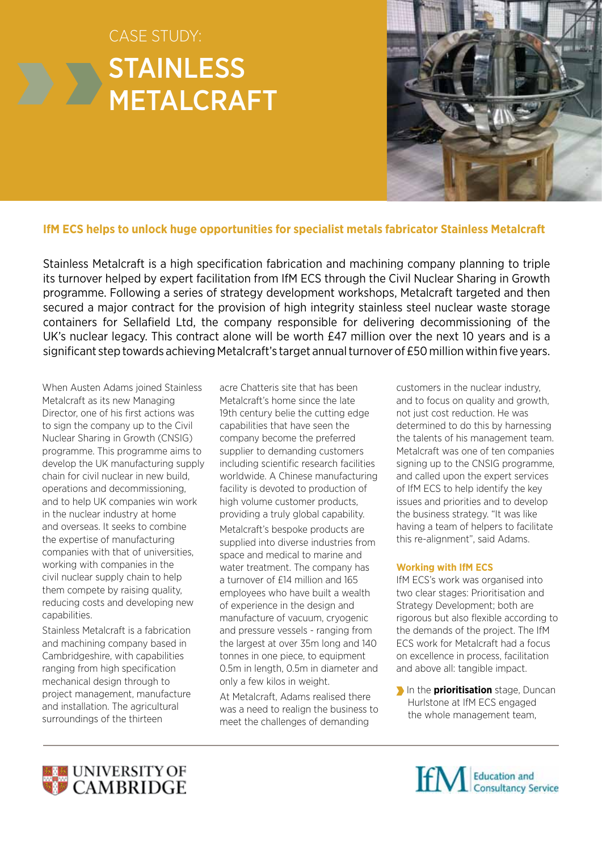# CASE STUDY: **STAINLESS** METALCRAFT



## **IfM ECS helps to unlock huge opportunities for specialist metals fabricator Stainless Metalcraft**

Stainless Metalcraft is a high specification fabrication and machining company planning to triple its turnover helped by expert facilitation from IfM ECS through the Civil Nuclear Sharing in Growth programme. Following a series of strategy development workshops, Metalcraft targeted and then secured a major contract for the provision of high integrity stainless steel nuclear waste storage containers for Sellafield Ltd, the company responsible for delivering decommissioning of the UK's nuclear legacy. This contract alone will be worth £47 million over the next 10 years and is a significant step towards achieving Metalcraft's target annual turnover of £50 million within five years.

When Austen Adams joined Stainless Metalcraft as its new Managing Director, one of his first actions was to sign the company up to the Civil Nuclear Sharing in Growth (CNSIG) programme. This programme aims to develop the UK manufacturing supply chain for civil nuclear in new build, operations and decommissioning, and to help UK companies win work in the nuclear industry at home and overseas. It seeks to combine the expertise of manufacturing companies with that of universities, working with companies in the civil nuclear supply chain to help them compete by raising quality, reducing costs and developing new capabilities.

Stainless Metalcraft is a fabrication and machining company based in Cambridgeshire, with capabilities ranging from high specification mechanical design through to project management, manufacture and installation. The agricultural surroundings of the thirteen

acre Chatteris site that has been Metalcraft's home since the late 19th century belie the cutting edge capabilities that have seen the company become the preferred supplier to demanding customers including scientific research facilities worldwide. A Chinese manufacturing facility is devoted to production of high volume customer products, providing a truly global capability.

Metalcraft's bespoke products are supplied into diverse industries from space and medical to marine and water treatment. The company has a turnover of £14 million and 165 employees who have built a wealth of experience in the design and manufacture of vacuum, cryogenic and pressure vessels - ranging from the largest at over 35m long and 140 tonnes in one piece, to equipment 0.5m in length, 0.5m in diameter and only a few kilos in weight.

At Metalcraft, Adams realised there was a need to realign the business to meet the challenges of demanding

customers in the nuclear industry, and to focus on quality and growth, not just cost reduction. He was determined to do this by harnessing the talents of his management team. Metalcraft was one of ten companies signing up to the CNSIG programme, and called upon the expert services of IfM ECS to help identify the key issues and priorities and to develop the business strategy. "It was like having a team of helpers to facilitate this re-alignment", said Adams.

#### **Working with IfM ECS**

IfM ECS's work was organised into two clear stages: Prioritisation and Strategy Development; both are rigorous but also flexible according to the demands of the project. The IfM ECS work for Metalcraft had a focus on excellence in process, facilitation and above all: tangible impact.

**In the prioritisation** stage, Duncan Hurlstone at IfM ECS engaged the whole management team,